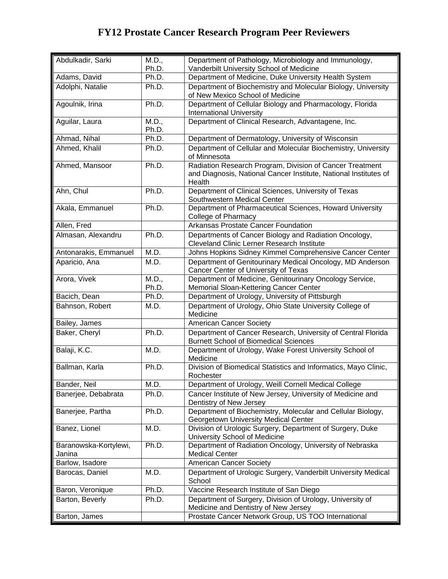| Abdulkadir, Sarki               | M.D.,          | Department of Pathology, Microbiology and Immunology,                                                                                  |
|---------------------------------|----------------|----------------------------------------------------------------------------------------------------------------------------------------|
|                                 | Ph.D.          | Vanderbilt University School of Medicine                                                                                               |
| Adams, David                    | Ph.D.          | Department of Medicine, Duke University Health System                                                                                  |
| Adolphi, Natalie                | Ph.D.          | Department of Biochemistry and Molecular Biology, University<br>of New Mexico School of Medicine                                       |
| Agoulnik, Irina                 | Ph.D.          | Department of Cellular Biology and Pharmacology, Florida<br><b>International University</b>                                            |
| Aguilar, Laura                  | M.D.,<br>Ph.D. | Department of Clinical Research, Advantagene, Inc.                                                                                     |
| Ahmad, Nihal                    | Ph.D.          | Department of Dermatology, University of Wisconsin                                                                                     |
| Ahmed, Khalil                   | Ph.D.          | Department of Cellular and Molecular Biochemistry, University<br>of Minnesota                                                          |
| Ahmed, Mansoor                  | Ph.D.          | Radiation Research Program, Division of Cancer Treatment<br>and Diagnosis, National Cancer Institute, National Institutes of<br>Health |
| Ahn, Chul                       | Ph.D.          | Department of Clinical Sciences, University of Texas<br>Southwestern Medical Center                                                    |
| Akala, Emmanuel                 | Ph.D.          | Department of Pharmaceutical Sciences, Howard University<br>College of Pharmacy                                                        |
| Allen, Fred                     |                | Arkansas Prostate Cancer Foundation                                                                                                    |
| Almasan, Alexandru              | Ph.D.          | Departments of Cancer Biology and Radiation Oncology,<br><b>Cleveland Clinic Lerner Research Institute</b>                             |
| Antonarakis, Emmanuel           | M.D.           | Johns Hopkins Sidney Kimmel Comprehensive Cancer Center                                                                                |
| Aparicio, Ana                   | M.D.           | Department of Genitourinary Medical Oncology, MD Anderson<br>Cancer Center of University of Texas                                      |
| Arora, Vivek                    | M.D.,<br>Ph.D. | Department of Medicine, Genitourinary Oncology Service,<br>Memorial Sloan-Kettering Cancer Center                                      |
| Bacich, Dean                    | Ph.D.          | Department of Urology, University of Pittsburgh                                                                                        |
| Bahnson, Robert                 | M.D.           | Department of Urology, Ohio State University College of<br>Medicine                                                                    |
| Bailey, James                   |                | <b>American Cancer Society</b>                                                                                                         |
| Baker, Cheryl                   | Ph.D.          | Department of Cancer Research, University of Central Florida<br><b>Burnett School of Biomedical Sciences</b>                           |
| Balaji, K.C.                    | M.D.           | Department of Urology, Wake Forest University School of<br>Medicine                                                                    |
| Ballman, Karla                  | Ph.D.          | Division of Biomedical Statistics and Informatics, Mayo Clinic,<br>Rochester                                                           |
| Bander, Neil                    | M.D.           | Department of Urology, Weill Cornell Medical College                                                                                   |
| Banerjee, Debabrata             | Ph.D.          | Cancer Institute of New Jersey, University of Medicine and<br>Dentistry of New Jersey                                                  |
| Banerjee, Partha                | Ph.D.          | Department of Biochemistry, Molecular and Cellular Biology,<br><b>Georgetown University Medical Center</b>                             |
| Banez, Lionel                   | M.D.           | Division of Urologic Surgery, Department of Surgery, Duke<br>University School of Medicine                                             |
| Baranowska-Kortylewi,<br>Janina | Ph.D.          | Department of Radiation Oncology, University of Nebraska<br><b>Medical Center</b>                                                      |
| Barlow, Isadore                 |                | American Cancer Society                                                                                                                |
| Barocas, Daniel                 | M.D.           | Department of Urologic Surgery, Vanderbilt University Medical<br>School                                                                |
| Baron, Veronique                | Ph.D.          | Vaccine Research Institute of San Diego                                                                                                |
| Barton, Beverly                 | Ph.D.          | Department of Surgery, Division of Urology, University of<br>Medicine and Dentistry of New Jersey                                      |
| Barton, James                   |                | Prostate Cancer Network Group, US TOO International                                                                                    |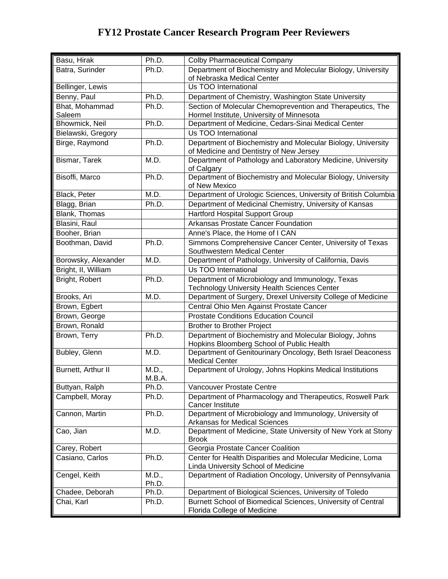| Basu, Hirak         | Ph.D.           | <b>Colby Pharmaceutical Company</b>                                                                     |
|---------------------|-----------------|---------------------------------------------------------------------------------------------------------|
| Batra, Surinder     | Ph.D.           | Department of Biochemistry and Molecular Biology, University                                            |
|                     |                 | of Nebraska Medical Center                                                                              |
| Bellinger, Lewis    |                 | Us TOO International                                                                                    |
| Benny, Paul         | Ph.D.           | Department of Chemistry, Washington State University                                                    |
| Bhat, Mohammad      | Ph.D.           | Section of Molecular Chemoprevention and Therapeutics, The                                              |
| Saleem              |                 | Hormel Institute, University of Minnesota                                                               |
| Bhowmick, Neil      | Ph.D.           | Department of Medicine, Cedars-Sinai Medical Center                                                     |
| Bielawski, Gregory  |                 | Us TOO International                                                                                    |
| Birge, Raymond      | Ph.D.           | Department of Biochemistry and Molecular Biology, University<br>of Medicine and Dentistry of New Jersey |
| Bismar, Tarek       | M.D.            | Department of Pathology and Laboratory Medicine, University<br>of Calgary                               |
| Bisoffi, Marco      | Ph.D.           | Department of Biochemistry and Molecular Biology, University<br>of New Mexico                           |
| Black, Peter        | M.D.            | Department of Urologic Sciences, University of British Columbia                                         |
| Blagg, Brian        | Ph.D.           | Department of Medicinal Chemistry, University of Kansas                                                 |
| Blank, Thomas       |                 | <b>Hartford Hospital Support Group</b>                                                                  |
| Blasini, Raul       |                 | Arkansas Prostate Cancer Foundation                                                                     |
| Booher, Brian       |                 | Anne's Place, the Home of I CAN                                                                         |
| Boothman, David     | Ph.D.           | Simmons Comprehensive Cancer Center, University of Texas                                                |
|                     |                 | Southwestern Medical Center                                                                             |
| Borowsky, Alexander | M.D.            | Department of Pathology, University of California, Davis                                                |
| Bright, II, William |                 | Us TOO International                                                                                    |
| Bright, Robert      | Ph.D.           | Department of Microbiology and Immunology, Texas                                                        |
|                     |                 | <b>Technology University Health Sciences Center</b>                                                     |
| Brooks, Ari         | M.D.            | Department of Surgery, Drexel University College of Medicine                                            |
| Brown, Egbert       |                 | Central Ohio Men Against Prostate Cancer                                                                |
| Brown, George       |                 | <b>Prostate Conditions Education Council</b>                                                            |
| Brown, Ronald       |                 | <b>Brother to Brother Project</b>                                                                       |
| Brown, Terry        | Ph.D.           | Department of Biochemistry and Molecular Biology, Johns<br>Hopkins Bloomberg School of Public Health    |
| Bubley, Glenn       | M.D.            | Department of Genitourinary Oncology, Beth Israel Deaconess<br><b>Medical Center</b>                    |
| Burnett, Arthur II  | M.D.,<br>M.B.A. | Department of Urology, Johns Hopkins Medical Institutions                                               |
| Buttyan, Ralph      | Ph.D.           | Vancouver Prostate Centre                                                                               |
| Campbell, Moray     | Ph.D.           | Department of Pharmacology and Therapeutics, Roswell Park<br><b>Cancer Institute</b>                    |
| Cannon, Martin      | Ph.D.           | Department of Microbiology and Immunology, University of<br>Arkansas for Medical Sciences               |
| Cao, Jian           | M.D.            | Department of Medicine, State University of New York at Stony<br><b>Brook</b>                           |
| Carey, Robert       |                 | Georgia Prostate Cancer Coalition                                                                       |
| Casiano, Carlos     | Ph.D.           | Center for Health Disparities and Molecular Medicine, Loma<br>Linda University School of Medicine       |
| Cengel, Keith       | M.D.,           | Department of Radiation Oncology, University of Pennsylvania                                            |
|                     | Ph.D.           |                                                                                                         |
| Chadee, Deborah     | Ph.D.           | Department of Biological Sciences, University of Toledo                                                 |
| Chai, Karl          | Ph.D.           | Burnett School of Biomedical Sciences, University of Central<br>Florida College of Medicine             |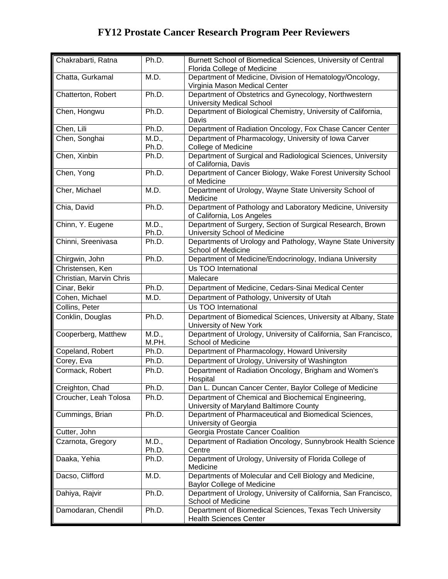| Chakrabarti, Ratna      | Ph.D.          | Burnett School of Biomedical Sciences, University of Central<br>Florida College of Medicine    |
|-------------------------|----------------|------------------------------------------------------------------------------------------------|
| Chatta, Gurkamal        | M.D.           | Department of Medicine, Division of Hematology/Oncology,<br>Virginia Mason Medical Center      |
| Chatterton, Robert      | Ph.D.          | Department of Obstetrics and Gynecology, Northwestern<br><b>University Medical School</b>      |
| Chen, Hongwu            | Ph.D.          | Department of Biological Chemistry, University of California,<br>Davis                         |
| Chen, Lili              | Ph.D.          | Department of Radiation Oncology, Fox Chase Cancer Center                                      |
| Chen, Songhai           | M.D.,<br>Ph.D. | Department of Pharmacology, University of Iowa Carver<br><b>College of Medicine</b>            |
| Chen, Xinbin            | Ph.D.          | Department of Surgical and Radiological Sciences, University<br>of California, Davis           |
| Chen, Yong              | Ph.D.          | Department of Cancer Biology, Wake Forest University School<br>of Medicine                     |
| Cher, Michael           | M.D.           | Department of Urology, Wayne State University School of<br>Medicine                            |
| Chia, David             | Ph.D.          | Department of Pathology and Laboratory Medicine, University<br>of California, Los Angeles      |
| Chinn, Y. Eugene        | M.D.,<br>Ph.D. | Department of Surgery, Section of Surgical Research, Brown<br>University School of Medicine    |
| Chinni, Sreenivasa      | Ph.D.          | Departments of Urology and Pathology, Wayne State University<br>School of Medicine             |
| Chirgwin, John          | Ph.D.          | Department of Medicine/Endocrinology, Indiana University                                       |
| Christensen, Ken        |                | Us TOO International                                                                           |
| Christian, Marvin Chris |                | Malecare                                                                                       |
| Cinar, Bekir            | Ph.D.          | Department of Medicine, Cedars-Sinai Medical Center                                            |
| Cohen, Michael          | M.D.           | Department of Pathology, University of Utah                                                    |
| Collins, Peter          |                | Us TOO International                                                                           |
| Conklin, Douglas        | Ph.D.          | Department of Biomedical Sciences, University at Albany, State<br>University of New York       |
| Cooperberg, Matthew     | M.D.,<br>M.PH. | Department of Urology, University of California, San Francisco,<br>School of Medicine          |
| Copeland, Robert        | Ph.D.          | Department of Pharmacology, Howard University                                                  |
| Corey, Eva              | Ph.D.          | Department of Urology, University of Washington                                                |
| Cormack, Robert         | Ph.D.          | Department of Radiation Oncology, Brigham and Women's<br>Hospital                              |
| Creighton, Chad         | Ph.D.          | Dan L. Duncan Cancer Center, Baylor College of Medicine                                        |
| Croucher, Leah Tolosa   | Ph.D.          | Department of Chemical and Biochemical Engineering,<br>University of Maryland Baltimore County |
| Cummings, Brian         | Ph.D.          | Department of Pharmaceutical and Biomedical Sciences,<br>University of Georgia                 |
| Cutter, John            |                | Georgia Prostate Cancer Coalition                                                              |
| Czarnota, Gregory       | M.D.,          | Department of Radiation Oncology, Sunnybrook Health Science                                    |
|                         | Ph.D.          | Centre                                                                                         |
| Daaka, Yehia            | Ph.D.          | Department of Urology, University of Florida College of<br>Medicine                            |
| Dacso, Clifford         | M.D.           | Departments of Molecular and Cell Biology and Medicine,<br><b>Baylor College of Medicine</b>   |
| Dahiya, Rajvir          | Ph.D.          | Department of Urology, University of California, San Francisco,<br>School of Medicine          |
| Damodaran, Chendil      | Ph.D.          | Department of Biomedical Sciences, Texas Tech University<br><b>Health Sciences Center</b>      |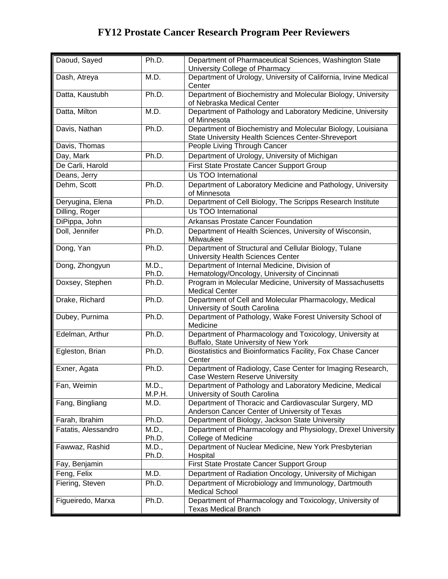| Daoud, Sayed        | Ph.D.           | Department of Pharmaceutical Sciences, Washington State<br>University College of Pharmacy                         |
|---------------------|-----------------|-------------------------------------------------------------------------------------------------------------------|
| Dash, Atreya        | M.D.            | Department of Urology, University of California, Irvine Medical<br>Center                                         |
| Datta, Kaustubh     | Ph.D.           | Department of Biochemistry and Molecular Biology, University<br>of Nebraska Medical Center                        |
| Datta, Milton       | M.D.            | Department of Pathology and Laboratory Medicine, University<br>of Minnesota                                       |
| Davis, Nathan       | Ph.D.           | Department of Biochemistry and Molecular Biology, Louisiana<br>State University Health Sciences Center-Shreveport |
| Davis, Thomas       |                 | People Living Through Cancer                                                                                      |
| Day, Mark           | Ph.D.           | Department of Urology, University of Michigan                                                                     |
| De Carli, Harold    |                 | First State Prostate Cancer Support Group                                                                         |
| Deans, Jerry        |                 | Us TOO International                                                                                              |
| Dehm, Scott         | Ph.D.           | Department of Laboratory Medicine and Pathology, University<br>of Minnesota                                       |
| Deryugina, Elena    | Ph.D.           | Department of Cell Biology, The Scripps Research Institute                                                        |
| Dilling, Roger      |                 | Us TOO International                                                                                              |
| DiPippa, John       |                 | Arkansas Prostate Cancer Foundation                                                                               |
| Doll, Jennifer      | Ph.D.           | Department of Health Sciences, University of Wisconsin,<br>Milwaukee                                              |
| Dong, Yan           | Ph.D.           | Department of Structural and Cellular Biology, Tulane<br>University Health Sciences Center                        |
| Dong, Zhongyun      | M.D.,<br>Ph.D.  | Department of Internal Medicine, Division of<br>Hematology/Oncology, University of Cincinnati                     |
| Doxsey, Stephen     | Ph.D.           | Program in Molecular Medicine, University of Massachusetts<br><b>Medical Center</b>                               |
| Drake, Richard      | Ph.D.           | Department of Cell and Molecular Pharmacology, Medical<br>University of South Carolina                            |
| Dubey, Purnima      | Ph.D.           | Department of Pathology, Wake Forest University School of<br>Medicine                                             |
| Edelman, Arthur     | Ph.D.           | Department of Pharmacology and Toxicology, University at<br>Buffalo, State University of New York                 |
| Egleston, Brian     | Ph.D.           | Biostatistics and Bioinformatics Facility, Fox Chase Cancer<br>Center                                             |
| Exner, Agata        | Ph.D.           | Department of Radiology, Case Center for Imaging Research,<br>Case Western Reserve University                     |
| Fan, Weimin         | M.D.,<br>M.P.H. | Department of Pathology and Laboratory Medicine, Medical<br>University of South Carolina                          |
| Fang, Bingliang     | M.D.            | Department of Thoracic and Cardiovascular Surgery, MD<br>Anderson Cancer Center of University of Texas            |
| Farah, Ibrahim      | Ph.D.           | Department of Biology, Jackson State University                                                                   |
| Fatatis, Alessandro | M.D.,<br>Ph.D.  | Department of Pharmacology and Physiology, Drexel University<br><b>College of Medicine</b>                        |
| Fawwaz, Rashid      | M.D.,<br>Ph.D.  | Department of Nuclear Medicine, New York Presbyterian<br>Hospital                                                 |
| Fay, Benjamin       |                 | First State Prostate Cancer Support Group                                                                         |
| Feng, Felix         | M.D.            | Department of Radiation Oncology, University of Michigan                                                          |
| Fiering, Steven     | Ph.D.           | Department of Microbiology and Immunology, Dartmouth<br><b>Medical School</b>                                     |
| Figueiredo, Marxa   | Ph.D.           | Department of Pharmacology and Toxicology, University of<br><b>Texas Medical Branch</b>                           |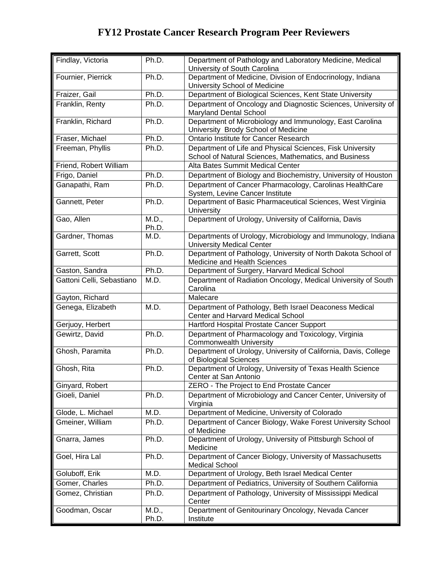| Findlay, Victoria         | Ph.D.          | Department of Pathology and Laboratory Medicine, Medical<br>University of South Carolina                           |
|---------------------------|----------------|--------------------------------------------------------------------------------------------------------------------|
| Fournier, Pierrick        | Ph.D.          | Department of Medicine, Division of Endocrinology, Indiana<br>University School of Medicine                        |
| Fraizer, Gail             | Ph.D.          | Department of Biological Sciences, Kent State University                                                           |
| Franklin, Renty           | Ph.D.          | Department of Oncology and Diagnostic Sciences, University of<br>Maryland Dental School                            |
| Franklin, Richard         | Ph.D.          | Department of Microbiology and Immunology, East Carolina<br>University Brody School of Medicine                    |
| Fraser, Michael           | Ph.D.          | Ontario Institute for Cancer Research                                                                              |
| Freeman, Phyllis          | Ph.D.          | Department of Life and Physical Sciences, Fisk University<br>School of Natural Sciences, Mathematics, and Business |
| Friend, Robert William    |                | Alta Bates Summit Medical Center                                                                                   |
| Frigo, Daniel             | Ph.D.          | Department of Biology and Biochemistry, University of Houston                                                      |
| Ganapathi, Ram            | Ph.D.          | Department of Cancer Pharmacology, Carolinas HealthCare<br>System, Levine Cancer Institute                         |
| Gannett, Peter            | Ph.D.          | Department of Basic Pharmaceutical Sciences, West Virginia<br>University                                           |
| Gao, Allen                | M.D.,<br>Ph.D. | Department of Urology, University of California, Davis                                                             |
| Gardner, Thomas           | M.D.           | Departments of Urology, Microbiology and Immunology, Indiana<br><b>University Medical Center</b>                   |
| Garrett, Scott            | Ph.D.          | Department of Pathology, University of North Dakota School of<br>Medicine and Health Sciences                      |
| Gaston, Sandra            | Ph.D.          | Department of Surgery, Harvard Medical School                                                                      |
| Gattoni Celli, Sebastiano | M.D.           | Department of Radiation Oncology, Medical University of South<br>Carolina                                          |
| Gayton, Richard           |                | Malecare                                                                                                           |
| Genega, Elizabeth         | M.D.           | Department of Pathology, Beth Israel Deaconess Medical<br>Center and Harvard Medical School                        |
| Gerjuoy, Herbert          |                | Hartford Hospital Prostate Cancer Support                                                                          |
| Gewirtz, David            | Ph.D.          | Department of Pharmacology and Toxicology, Virginia<br><b>Commonwealth University</b>                              |
| Ghosh, Paramita           | Ph.D.          | Department of Urology, University of California, Davis, College<br>of Biological Sciences                          |
| Ghosh, Rita               | Ph.D.          | Department of Urology, University of Texas Health Science<br>Center at San Antonio                                 |
| Ginyard, Robert           |                | ZERO - The Project to End Prostate Cancer                                                                          |
| Gioeli, Daniel            | Ph.D.          | Department of Microbiology and Cancer Center, University of<br>Virginia                                            |
| Glode, L. Michael         | M.D.           | Department of Medicine, University of Colorado                                                                     |
| Gmeiner, William          | Ph.D.          | Department of Cancer Biology, Wake Forest University School<br>of Medicine                                         |
| Gnarra, James             | Ph.D.          | Department of Urology, University of Pittsburgh School of<br>Medicine                                              |
| Goel, Hira Lal            | Ph.D.          | Department of Cancer Biology, University of Massachusetts<br><b>Medical School</b>                                 |
| Goluboff, Erik            | M.D.           | Department of Urology, Beth Israel Medical Center                                                                  |
| Gomer, Charles            | Ph.D.          | Department of Pediatrics, University of Southern California                                                        |
| Gomez, Christian          | Ph.D.          | Department of Pathology, University of Mississippi Medical<br>Center                                               |
| Goodman, Oscar            | M.D.,<br>Ph.D. | Department of Genitourinary Oncology, Nevada Cancer<br>Institute                                                   |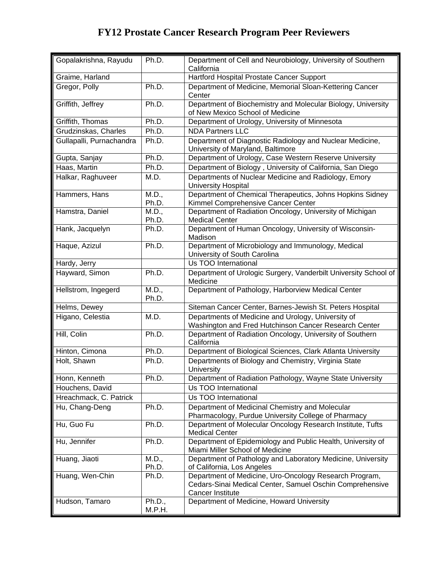| Gopalakrishna, Rayudu    | Ph.D.            | Department of Cell and Neurobiology, University of Southern<br>California                                                              |
|--------------------------|------------------|----------------------------------------------------------------------------------------------------------------------------------------|
| Graime, Harland          |                  | Hartford Hospital Prostate Cancer Support                                                                                              |
| Gregor, Polly            | Ph.D.            | Department of Medicine, Memorial Sloan-Kettering Cancer<br>Center                                                                      |
| Griffith, Jeffrey        | Ph.D.            | Department of Biochemistry and Molecular Biology, University<br>of New Mexico School of Medicine                                       |
| Griffith, Thomas         | Ph.D.            | Department of Urology, University of Minnesota                                                                                         |
| Grudzinskas, Charles     | Ph.D.            | <b>NDA Partners LLC</b>                                                                                                                |
| Gullapalli, Purnachandra | Ph.D.            | Department of Diagnostic Radiology and Nuclear Medicine,<br>University of Maryland, Baltimore                                          |
| Gupta, Sanjay            | Ph.D.            | Department of Urology, Case Western Reserve University                                                                                 |
| Haas, Martin             | Ph.D.            | Department of Biology, University of California, San Diego                                                                             |
| Halkar, Raghuveer        | M.D.             | Departments of Nuclear Medicine and Radiology, Emory<br><b>University Hospital</b>                                                     |
| Hammers, Hans            | M.D.,<br>Ph.D.   | Department of Chemical Therapeutics, Johns Hopkins Sidney<br>Kimmel Comprehensive Cancer Center                                        |
| Hamstra, Daniel          | M.D.,<br>Ph.D.   | Department of Radiation Oncology, University of Michigan<br><b>Medical Center</b>                                                      |
| Hank, Jacquelyn          | Ph.D.            | Department of Human Oncology, University of Wisconsin-<br>Madison                                                                      |
| Haque, Azizul            | Ph.D.            | Department of Microbiology and Immunology, Medical<br>University of South Carolina                                                     |
| Hardy, Jerry             |                  | Us TOO International                                                                                                                   |
| Hayward, Simon           | Ph.D.            | Department of Urologic Surgery, Vanderbilt University School of<br>Medicine                                                            |
| Hellstrom, Ingegerd      | M.D.,<br>Ph.D.   | Department of Pathology, Harborview Medical Center                                                                                     |
| Helms, Dewey             |                  | Siteman Cancer Center, Barnes-Jewish St. Peters Hospital                                                                               |
| Higano, Celestia         | M.D.             | Departments of Medicine and Urology, University of<br>Washington and Fred Hutchinson Cancer Research Center                            |
| Hill, Colin              | Ph.D.            | Department of Radiation Oncology, University of Southern<br>California                                                                 |
| Hinton, Cimona           | Ph.D.            | Department of Biological Sciences, Clark Atlanta University                                                                            |
| Holt, Shawn              | Ph.D.            | Departments of Biology and Chemistry, Virginia State<br>University                                                                     |
| Honn, Kenneth            | Ph.D.            | Department of Radiation Pathology, Wayne State University                                                                              |
| Houchens, David          |                  | Us TOO International                                                                                                                   |
| Hreachmack, C. Patrick   |                  | Us TOO International                                                                                                                   |
| Hu, Chang-Deng           | Ph.D.            | Department of Medicinal Chemistry and Molecular<br>Pharmacology, Purdue University College of Pharmacy                                 |
| Hu, Guo Fu               | Ph.D.            | Department of Molecular Oncology Research Institute, Tufts<br><b>Medical Center</b>                                                    |
| Hu, Jennifer             | Ph.D.            | Department of Epidemiology and Public Health, University of<br>Miami Miller School of Medicine                                         |
| Huang, Jiaoti            | M.D.,<br>Ph.D.   | Department of Pathology and Laboratory Medicine, University<br>of California, Los Angeles                                              |
| Huang, Wen-Chin          | Ph.D.            | Department of Medicine, Uro-Oncology Research Program,<br>Cedars-Sinai Medical Center, Samuel Oschin Comprehensive<br>Cancer Institute |
| Hudson, Tamaro           | Ph.D.,<br>M.P.H. | Department of Medicine, Howard University                                                                                              |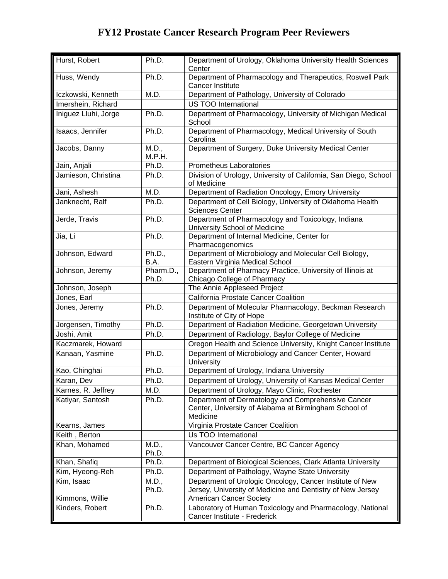| Hurst, Robert        | Ph.D.              | Department of Urology, Oklahoma University Health Sciences<br>Center                                                    |
|----------------------|--------------------|-------------------------------------------------------------------------------------------------------------------------|
| Huss, Wendy          | Ph.D.              | Department of Pharmacology and Therapeutics, Roswell Park<br><b>Cancer Institute</b>                                    |
| Iczkowski, Kenneth   | M.D.               | Department of Pathology, University of Colorado                                                                         |
| Imershein, Richard   |                    | <b>US TOO International</b>                                                                                             |
| Iniguez Lluhi, Jorge | Ph.D.              | Department of Pharmacology, University of Michigan Medical<br>School                                                    |
| Isaacs, Jennifer     | Ph.D.              | Department of Pharmacology, Medical University of South<br>Carolina                                                     |
| Jacobs, Danny        | M.D.,<br>M.P.H.    | Department of Surgery, Duke University Medical Center                                                                   |
| Jain, Anjali         | Ph.D.              | Prometheus Laboratories                                                                                                 |
| Jamieson, Christina  | Ph.D.              | Division of Urology, University of California, San Diego, School<br>of Medicine                                         |
| Jani, Ashesh         | M.D.               | Department of Radiation Oncology, Emory University                                                                      |
| Janknecht, Ralf      | Ph.D.              | Department of Cell Biology, University of Oklahoma Health<br><b>Sciences Center</b>                                     |
| Jerde, Travis        | Ph.D.              | Department of Pharmacology and Toxicology, Indiana<br>University School of Medicine                                     |
| Jia, Li              | Ph.D.              | Department of Internal Medicine, Center for<br>Pharmacogenomics                                                         |
| Johnson, Edward      | Ph.D.,<br>B.A.     | Department of Microbiology and Molecular Cell Biology,<br>Eastern Virginia Medical School                               |
| Johnson, Jeremy      | Pharm.D.,<br>Ph.D. | Department of Pharmacy Practice, University of Illinois at<br>Chicago College of Pharmacy                               |
| Johnson, Joseph      |                    | The Annie Appleseed Project                                                                                             |
| Jones, Earl          |                    | California Prostate Cancer Coalition                                                                                    |
| Jones, Jeremy        | Ph.D.              | Department of Molecular Pharmacology, Beckman Research<br>Institute of City of Hope                                     |
| Jorgensen, Timothy   | Ph.D.              | Department of Radiation Medicine, Georgetown University                                                                 |
| Joshi, Amit          | Ph.D.              | Department of Radiology, Baylor College of Medicine                                                                     |
| Kaczmarek, Howard    |                    | Oregon Health and Science University, Knight Cancer Institute                                                           |
| Kanaan, Yasmine      | Ph.D.              | Department of Microbiology and Cancer Center, Howard<br>University                                                      |
| Kao, Chinghai        | Ph.D.              | Department of Urology, Indiana University                                                                               |
| Karan, Dev           | Ph.D.              | Department of Urology, University of Kansas Medical Center                                                              |
| Karnes, R. Jeffrey   | M.D.               | Department of Urology, Mayo Clinic, Rochester                                                                           |
| Katiyar, Santosh     | Ph.D.              | Department of Dermatology and Comprehensive Cancer<br>Center, University of Alabama at Birmingham School of<br>Medicine |
| Kearns, James        |                    | Virginia Prostate Cancer Coalition                                                                                      |
| Keith, Berton        |                    | Us TOO International                                                                                                    |
| Khan, Mohamed        | M.D.,<br>Ph.D.     | Vancouver Cancer Centre, BC Cancer Agency                                                                               |
| Khan, Shafiq         | Ph.D.              | Department of Biological Sciences, Clark Atlanta University                                                             |
| Kim, Hyeong-Reh      | Ph.D.              | Department of Pathology, Wayne State University                                                                         |
| Kim, Isaac           | M.D.,<br>Ph.D.     | Department of Urologic Oncology, Cancer Institute of New<br>Jersey, University of Medicine and Dentistry of New Jersey  |
| Kimmons, Willie      |                    | American Cancer Society                                                                                                 |
| Kinders, Robert      | Ph.D.              | Laboratory of Human Toxicology and Pharmacology, National<br>Cancer Institute - Frederick                               |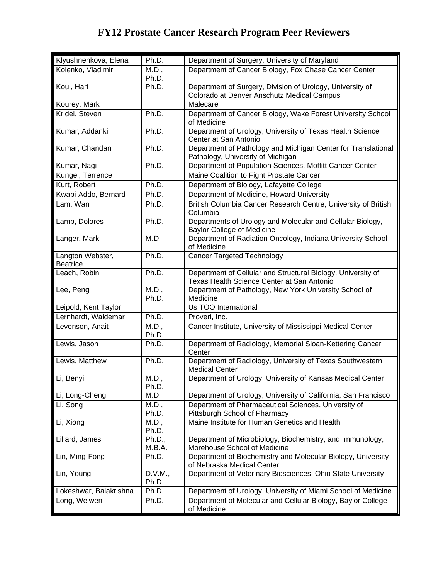| Klyushnenkova, Elena                | Ph.D.               | Department of Surgery, University of Maryland                                                              |
|-------------------------------------|---------------------|------------------------------------------------------------------------------------------------------------|
| Kolenko, Vladimir                   | $\overline{M}$ .D., | Department of Cancer Biology, Fox Chase Cancer Center                                                      |
|                                     | Ph.D.               |                                                                                                            |
| Koul, Hari                          | Ph.D.               | Department of Surgery, Division of Urology, University of                                                  |
| Kourey, Mark                        |                     | Colorado at Denver Anschutz Medical Campus<br>Malecare                                                     |
| Kridel, Steven                      | Ph.D.               | Department of Cancer Biology, Wake Forest University School                                                |
|                                     |                     | of Medicine                                                                                                |
| Kumar, Addanki                      | Ph.D.               | Department of Urology, University of Texas Health Science<br>Center at San Antonio                         |
| Kumar, Chandan                      | Ph.D.               | Department of Pathology and Michigan Center for Translational<br>Pathology, University of Michigan         |
| Kumar, Nagi                         | Ph.D.               | Department of Population Sciences, Moffitt Cancer Center                                                   |
| Kungel, Terrence                    |                     | Maine Coalition to Fight Prostate Cancer                                                                   |
| Kurt, Robert                        | Ph.D.               | Department of Biology, Lafayette College                                                                   |
| Kwabi-Addo, Bernard                 | Ph.D.               | Department of Medicine, Howard University                                                                  |
| Lam, Wan                            | Ph.D.               | British Columbia Cancer Research Centre, University of British<br>Columbia                                 |
| Lamb, Dolores                       | Ph.D.               | Departments of Urology and Molecular and Cellular Biology,                                                 |
|                                     |                     | <b>Baylor College of Medicine</b>                                                                          |
| Langer, Mark                        | M.D.                | Department of Radiation Oncology, Indiana University School<br>of Medicine                                 |
| Langton Webster,<br><b>Beatrice</b> | Ph.D.               | <b>Cancer Targeted Technology</b>                                                                          |
| Leach, Robin                        | Ph.D.               | Department of Cellular and Structural Biology, University of<br>Texas Health Science Center at San Antonio |
| Lee, Peng                           | M.D.,<br>Ph.D.      | Department of Pathology, New York University School of<br>Medicine                                         |
| Leipold, Kent Taylor                |                     | Us TOO International                                                                                       |
| Lernhardt, Waldemar                 | Ph.D.               | Proveri, Inc.                                                                                              |
| Levenson, Anait                     | M.D.,<br>Ph.D.      | Cancer Institute, University of Mississippi Medical Center                                                 |
| Lewis, Jason                        | Ph.D.               | Department of Radiology, Memorial Sloan-Kettering Cancer<br>Center                                         |
| Lewis, Matthew                      | Ph.D.               | Department of Radiology, University of Texas Southwestern<br><b>Medical Center</b>                         |
| Li, Benyi                           | M.D.,<br>Ph.D.      | Department of Urology, University of Kansas Medical Center                                                 |
| Li, Long-Cheng                      | M.D.                | Department of Urology, University of California, San Francisco                                             |
| Li, Song                            | M.D.,<br>Ph.D.      | Department of Pharmaceutical Sciences, University of<br>Pittsburgh School of Pharmacy                      |
| Li, Xiong                           | M.D.,<br>Ph.D.      | Maine Institute for Human Genetics and Health                                                              |
| Lillard, James                      | Ph.D.,<br>M.B.A.    | Department of Microbiology, Biochemistry, and Immunology,<br>Morehouse School of Medicine                  |
| Lin, Ming-Fong                      | Ph.D.               | Department of Biochemistry and Molecular Biology, University<br>of Nebraska Medical Center                 |
| Lin, Young                          | D.V.M.,             | Department of Veterinary Biosciences, Ohio State University                                                |
|                                     | Ph.D.               |                                                                                                            |
| Lokeshwar, Balakrishna              | Ph.D.               | Department of Urology, University of Miami School of Medicine                                              |
| Long, Weiwen                        | Ph.D.               | Department of Molecular and Cellular Biology, Baylor College<br>of Medicine                                |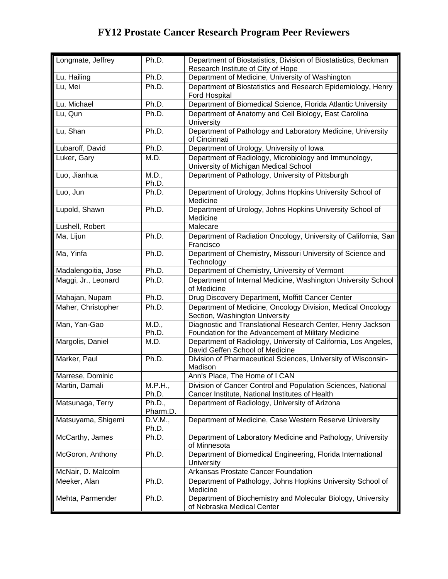| Longmate, Jeffrey   | Ph.D.              | Department of Biostatistics, Division of Biostatistics, Beckman<br>Research Institute of City of Hope              |
|---------------------|--------------------|--------------------------------------------------------------------------------------------------------------------|
| Lu, Hailing         | Ph.D.              | Department of Medicine, University of Washington                                                                   |
| Lu, Mei             | Ph.D.              | Department of Biostatistics and Research Epidemiology, Henry<br>Ford Hospital                                      |
| Lu, Michael         | Ph.D.              | Department of Biomedical Science, Florida Atlantic University                                                      |
| Lu, Qun             | Ph.D.              | Department of Anatomy and Cell Biology, East Carolina<br>University                                                |
| Lu, Shan            | Ph.D.              | Department of Pathology and Laboratory Medicine, University<br>of Cincinnati                                       |
| Lubaroff, David     | Ph.D.              | Department of Urology, University of Iowa                                                                          |
| Luker, Gary         | M.D.               | Department of Radiology, Microbiology and Immunology,<br>University of Michigan Medical School                     |
| Luo, Jianhua        | M.D.,<br>Ph.D.     | Department of Pathology, University of Pittsburgh                                                                  |
| Luo, Jun            | Ph.D.              | Department of Urology, Johns Hopkins University School of<br>Medicine                                              |
| Lupold, Shawn       | Ph.D.              | Department of Urology, Johns Hopkins University School of<br>Medicine                                              |
| Lushell, Robert     |                    | Malecare                                                                                                           |
| Ma, Lijun           | Ph.D.              | Department of Radiation Oncology, University of California, San<br>Francisco                                       |
| Ma, Yinfa           | Ph.D.              | Department of Chemistry, Missouri University of Science and<br>Technology                                          |
| Madalengoitia, Jose | Ph.D.              | Department of Chemistry, University of Vermont                                                                     |
| Maggi, Jr., Leonard | Ph.D.              | Department of Internal Medicine, Washington University School<br>of Medicine                                       |
| Mahajan, Nupam      | Ph.D.              | Drug Discovery Department, Moffitt Cancer Center                                                                   |
| Maher, Christopher  | Ph.D.              | Department of Medicine, Oncology Division, Medical Oncology<br>Section, Washington University                      |
| Man, Yan-Gao        | M.D.,<br>Ph.D.     | Diagnostic and Translational Research Center, Henry Jackson<br>Foundation for the Advancement of Military Medicine |
| Margolis, Daniel    | M.D.               | Department of Radiology, University of California, Los Angeles,<br>David Geffen School of Medicine                 |
| Marker, Paul        | Ph.D.              | Division of Pharmaceutical Sciences, University of Wisconsin-<br>Madison                                           |
| Marrese, Dominic    |                    | Ann's Place, The Home of I CAN                                                                                     |
| Martin, Damali      | M.P.H.,<br>Ph.D.   | Division of Cancer Control and Population Sciences, National<br>Cancer Institute, National Institutes of Health    |
| Matsunaga, Terry    | Ph.D.,<br>Pharm.D. | Department of Radiology, University of Arizona                                                                     |
| Matsuyama, Shigemi  | D.V.M.,<br>Ph.D.   | Department of Medicine, Case Western Reserve University                                                            |
| McCarthy, James     | Ph.D.              | Department of Laboratory Medicine and Pathology, University<br>of Minnesota                                        |
| McGoron, Anthony    | Ph.D.              | Department of Biomedical Engineering, Florida International<br>University                                          |
| McNair, D. Malcolm  |                    | Arkansas Prostate Cancer Foundation                                                                                |
| Meeker, Alan        | Ph.D.              | Department of Pathology, Johns Hopkins University School of<br>Medicine                                            |
| Mehta, Parmender    | Ph.D.              | Department of Biochemistry and Molecular Biology, University<br>of Nebraska Medical Center                         |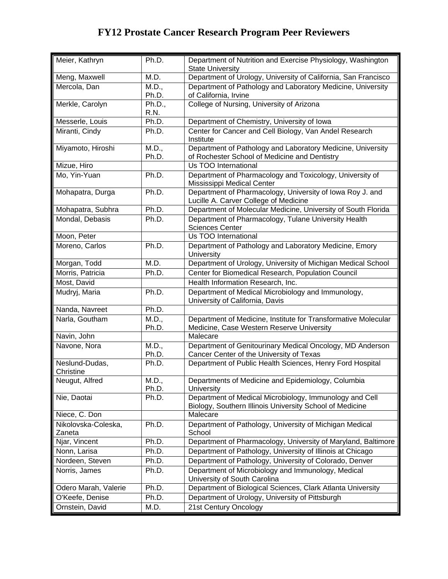| Meier, Kathryn                | Ph.D.          | Department of Nutrition and Exercise Physiology, Washington<br><b>State University</b>                              |
|-------------------------------|----------------|---------------------------------------------------------------------------------------------------------------------|
| Meng, Maxwell                 | M.D.           | Department of Urology, University of California, San Francisco                                                      |
| Mercola, Dan                  | M.D.,<br>Ph.D. | Department of Pathology and Laboratory Medicine, University<br>of California, Irvine                                |
| Merkle, Carolyn               | Ph.D.,<br>R.N. | College of Nursing, University of Arizona                                                                           |
| Messerle, Louis               | Ph.D.          | Department of Chemistry, University of Iowa                                                                         |
| Miranti, Cindy                | Ph.D.          | Center for Cancer and Cell Biology, Van Andel Research<br>Institute                                                 |
| Miyamoto, Hiroshi             | M.D.,<br>Ph.D. | Department of Pathology and Laboratory Medicine, University<br>of Rochester School of Medicine and Dentistry        |
| Mizue, Hiro                   |                | Us TOO International                                                                                                |
| Mo, Yin-Yuan                  | Ph.D.          | Department of Pharmacology and Toxicology, University of<br>Mississippi Medical Center                              |
| Mohapatra, Durga              | Ph.D.          | Department of Pharmacology, University of Iowa Roy J. and<br>Lucille A. Carver College of Medicine                  |
| Mohapatra, Subhra             | Ph.D.          | Department of Molecular Medicine, University of South Florida                                                       |
| Mondal, Debasis               | Ph.D.          | Department of Pharmacology, Tulane University Health<br><b>Sciences Center</b>                                      |
| Moon, Peter                   |                | Us TOO International                                                                                                |
| Moreno, Carlos                | Ph.D.          | Department of Pathology and Laboratory Medicine, Emory<br>University                                                |
| Morgan, Todd                  | M.D.           | Department of Urology, University of Michigan Medical School                                                        |
| Morris, Patricia              | Ph.D.          | Center for Biomedical Research, Population Council                                                                  |
| Most, David                   |                | Health Information Research, Inc.                                                                                   |
| Mudryj, Maria                 | Ph.D.          | Department of Medical Microbiology and Immunology,<br>University of California, Davis                               |
| Nanda, Navreet                | Ph.D.          |                                                                                                                     |
| Narla, Goutham                | M.D.,<br>Ph.D. | Department of Medicine, Institute for Transformative Molecular<br>Medicine, Case Western Reserve University         |
| Navin, John                   |                | Malecare                                                                                                            |
| Navone, Nora                  | M.D.,<br>Ph.D. | Department of Genitourinary Medical Oncology, MD Anderson<br>Cancer Center of the University of Texas               |
| Neslund-Dudas,<br>Christine   | Ph.D.          | Department of Public Health Sciences, Henry Ford Hospital                                                           |
| Neugut, Alfred                | M.D.,<br>Ph.D. | Departments of Medicine and Epidemiology, Columbia<br><b>University</b>                                             |
| Nie, Daotai                   | Ph.D.          | Department of Medical Microbiology, Immunology and Cell<br>Biology, Southern Illinois University School of Medicine |
| Niece, C. Don                 |                | Malecare                                                                                                            |
| Nikolovska-Coleska,<br>Zaneta | Ph.D.          | Department of Pathology, University of Michigan Medical<br>School                                                   |
| Njar, Vincent                 | Ph.D.          | Department of Pharmacology, University of Maryland, Baltimore                                                       |
| Nonn, Larisa                  | Ph.D.          | Department of Pathology, University of Illinois at Chicago                                                          |
| Nordeen, Steven               | Ph.D.          | Department of Pathology, University of Colorado, Denver                                                             |
| Norris, James                 | Ph.D.          | Department of Microbiology and Immunology, Medical                                                                  |
|                               |                | University of South Carolina                                                                                        |
| Odero Marah, Valerie          | Ph.D.          | Department of Biological Sciences, Clark Atlanta University                                                         |
| O'Keefe, Denise               | Ph.D.          | Department of Urology, University of Pittsburgh                                                                     |
| Ornstein, David               | M.D.           | 21st Century Oncology                                                                                               |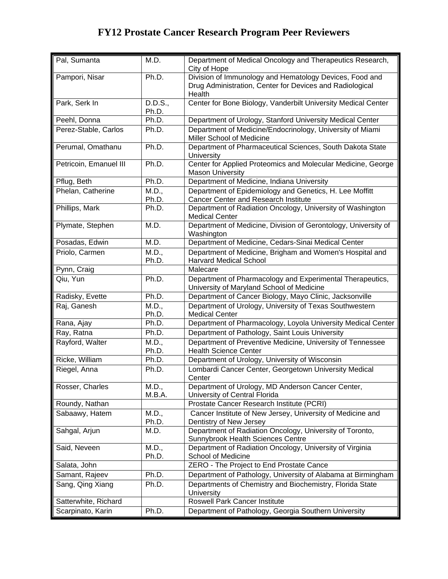| Pal, Sumanta           | M.D.             | Department of Medical Oncology and Therapeutics Research,<br>City of Hope                                                     |
|------------------------|------------------|-------------------------------------------------------------------------------------------------------------------------------|
| Pampori, Nisar         | Ph.D.            | Division of Immunology and Hematology Devices, Food and<br>Drug Administration, Center for Devices and Radiological<br>Health |
| Park, Serk In          | D.D.S.,<br>Ph.D. | Center for Bone Biology, Vanderbilt University Medical Center                                                                 |
| Peehl, Donna           | Ph.D.            | Department of Urology, Stanford University Medical Center                                                                     |
| Perez-Stable, Carlos   | Ph.D.            | Department of Medicine/Endocrinology, University of Miami<br>Miller School of Medicine                                        |
| Perumal, Omathanu      | Ph.D.            | Department of Pharmaceutical Sciences, South Dakota State<br>University                                                       |
| Petricoin, Emanuel III | Ph.D.            | Center for Applied Proteomics and Molecular Medicine, George<br><b>Mason University</b>                                       |
| Pflug, Beth            | Ph.D.            | Department of Medicine, Indiana University                                                                                    |
| Phelan, Catherine      | M.D.,<br>Ph.D.   | Department of Epidemiology and Genetics, H. Lee Moffitt<br><b>Cancer Center and Research Institute</b>                        |
| Phillips, Mark         | Ph.D.            | Department of Radiation Oncology, University of Washington<br><b>Medical Center</b>                                           |
| Plymate, Stephen       | M.D.             | Department of Medicine, Division of Gerontology, University of<br>Washington                                                  |
| Posadas, Edwin         | M.D.             | Department of Medicine, Cedars-Sinai Medical Center                                                                           |
| Priolo, Carmen         | M.D.,<br>Ph.D.   | Department of Medicine, Brigham and Women's Hospital and<br><b>Harvard Medical School</b>                                     |
| Pynn, Craig            |                  | Malecare                                                                                                                      |
| Qiu, Yun               | Ph.D.            | Department of Pharmacology and Experimental Therapeutics,<br>University of Maryland School of Medicine                        |
| Radisky, Evette        | Ph.D.            | Department of Cancer Biology, Mayo Clinic, Jacksonville                                                                       |
| Raj, Ganesh            | M.D.,<br>Ph.D.   | Department of Urology, University of Texas Southwestern<br><b>Medical Center</b>                                              |
| Rana, Ajay             | Ph.D.            | Department of Pharmacology, Loyola University Medical Center                                                                  |
| Ray, Ratna             | Ph.D.            | Department of Pathology, Saint Louis University                                                                               |
| Rayford, Walter        | M.D.,<br>Ph.D.   | Department of Preventive Medicine, University of Tennessee<br><b>Health Science Center</b>                                    |
| Ricke, William         | Ph.D.            | Department of Urology, University of Wisconsin                                                                                |
| Riegel, Anna           | Ph.D.            | Lombardi Cancer Center, Georgetown University Medical<br>Center                                                               |
| Rosser, Charles        | M.D.,<br>M.B.A.  | Department of Urology, MD Anderson Cancer Center,<br>University of Central Florida                                            |
| Roundy, Nathan         |                  | Prostate Cancer Research Institute (PCRI)                                                                                     |
| Sabaawy, Hatem         | M.D.,<br>Ph.D.   | Cancer Institute of New Jersey, University of Medicine and<br>Dentistry of New Jersey                                         |
| Sahgal, Arjun          | M.D.             | Department of Radiation Oncology, University of Toronto,<br>Sunnybrook Health Sciences Centre                                 |
| Said, Neveen           | M.D.,<br>Ph.D.   | Department of Radiation Oncology, University of Virginia<br>School of Medicine                                                |
| Salata, John           |                  | ZERO - The Project to End Prostate Cance                                                                                      |
| Samant, Rajeev         | Ph.D.            | Department of Pathology, University of Alabama at Birmingham                                                                  |
| Sang, Qing Xiang       | Ph.D.            | Departments of Chemistry and Biochemistry, Florida State<br><b>University</b>                                                 |
| Satterwhite, Richard   |                  | Roswell Park Cancer Institute                                                                                                 |
| Scarpinato, Karin      | Ph.D.            | Department of Pathology, Georgia Southern University                                                                          |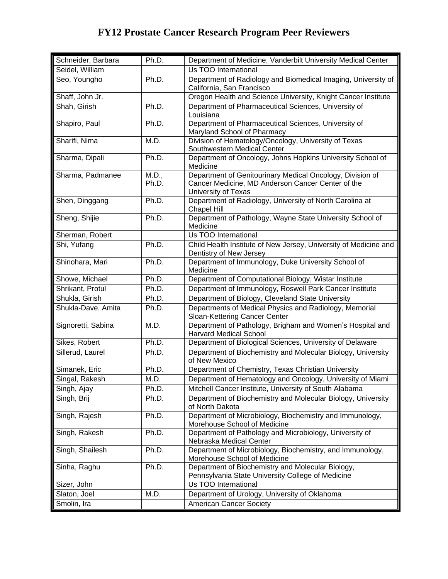| Schneider, Barbara | Ph.D.          | Department of Medicine, Vanderbilt University Medical Center                                                                          |
|--------------------|----------------|---------------------------------------------------------------------------------------------------------------------------------------|
| Seidel, William    |                | Us TOO International                                                                                                                  |
| Seo, Youngho       | Ph.D.          | Department of Radiology and Biomedical Imaging, University of<br>California, San Francisco                                            |
| Shaff, John Jr.    |                | Oregon Health and Science University, Knight Cancer Institute                                                                         |
| Shah, Girish       | Ph.D.          | Department of Pharmaceutical Sciences, University of<br>Louisiana                                                                     |
| Shapiro, Paul      | Ph.D.          | Department of Pharmaceutical Sciences, University of<br>Maryland School of Pharmacy                                                   |
| Sharifi, Nima      | M.D.           | Division of Hematology/Oncology, University of Texas<br>Southwestern Medical Center                                                   |
| Sharma, Dipali     | Ph.D.          | Department of Oncology, Johns Hopkins University School of<br>Medicine                                                                |
| Sharma, Padmanee   | M.D.,<br>Ph.D. | Department of Genitourinary Medical Oncology, Division of<br>Cancer Medicine, MD Anderson Cancer Center of the<br>University of Texas |
| Shen, Dinggang     | Ph.D.          | Department of Radiology, University of North Carolina at<br>Chapel Hill                                                               |
| Sheng, Shijie      | Ph.D.          | Department of Pathology, Wayne State University School of<br>Medicine                                                                 |
| Sherman, Robert    |                | Us TOO International                                                                                                                  |
| Shi, Yufang        | Ph.D.          | Child Health Institute of New Jersey, University of Medicine and<br>Dentistry of New Jersey                                           |
| Shinohara, Mari    | Ph.D.          | Department of Immunology, Duke University School of<br>Medicine                                                                       |
| Showe, Michael     | Ph.D.          | Department of Computational Biology, Wistar Institute                                                                                 |
| Shrikant, Protul   | Ph.D.          | Department of Immunology, Roswell Park Cancer Institute                                                                               |
| Shukla, Girish     | Ph.D.          | Department of Biology, Cleveland State University                                                                                     |
| Shukla-Dave, Amita | Ph.D.          | Departments of Medical Physics and Radiology, Memorial<br>Sloan-Kettering Cancer Center                                               |
| Signoretti, Sabina | M.D.           | Department of Pathology, Brigham and Women's Hospital and<br>Harvard Medical School                                                   |
| Sikes, Robert      | Ph.D.          | Department of Biological Sciences, University of Delaware                                                                             |
| Sillerud, Laurel   | Ph.D.          | Department of Biochemistry and Molecular Biology, University<br>of New Mexico                                                         |
| Simanek, Eric      | Ph.D.          | Department of Chemistry, Texas Christian University                                                                                   |
| Singal, Rakesh     | M.D.           | Department of Hematology and Oncology, University of Miami                                                                            |
| Singh, Ajay        | Ph.D.          | Mitchell Cancer Institute, University of South Alabama                                                                                |
| Singh, Brij        | Ph.D.          | Department of Biochemistry and Molecular Biology, University<br>of North Dakota                                                       |
| Singh, Rajesh      | Ph.D.          | Department of Microbiology, Biochemistry and Immunology,<br>Morehouse School of Medicine                                              |
| Singh, Rakesh      | Ph.D.          | Department of Pathology and Microbiology, University of<br>Nebraska Medical Center                                                    |
| Singh, Shailesh    | Ph.D.          | Department of Microbiology, Biochemistry, and Immunology,<br>Morehouse School of Medicine                                             |
| Sinha, Raghu       | Ph.D.          | Department of Biochemistry and Molecular Biology,<br>Pennsylvania State University College of Medicine                                |
| Sizer, John        |                | Us TOO International                                                                                                                  |
| Slaton, Joel       | M.D.           | Department of Urology, University of Oklahoma                                                                                         |
| Smolin, Ira        |                | <b>American Cancer Society</b>                                                                                                        |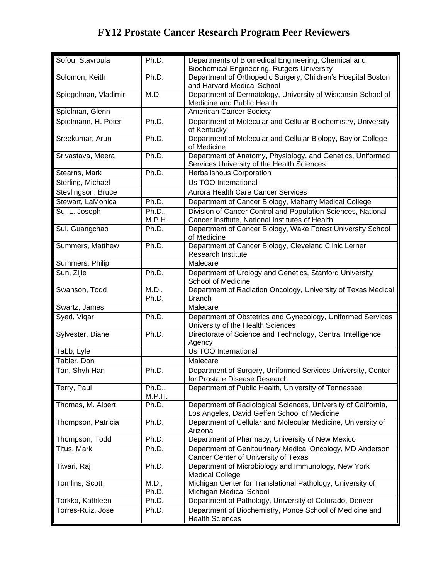| Sofou, Stavroula     | Ph.D.            | Departments of Biomedical Engineering, Chemical and<br><b>Biochemical Engineering, Rutgers University</b>      |
|----------------------|------------------|----------------------------------------------------------------------------------------------------------------|
| Solomon, Keith       | Ph.D.            | Department of Orthopedic Surgery, Children's Hospital Boston<br>and Harvard Medical School                     |
| Spiegelman, Vladimir | M.D.             | Department of Dermatology, University of Wisconsin School of<br>Medicine and Public Health                     |
| Spielman, Glenn      |                  | <b>American Cancer Society</b>                                                                                 |
| Spielmann, H. Peter  | Ph.D.            | Department of Molecular and Cellular Biochemistry, University<br>of Kentucky                                   |
| Sreekumar, Arun      | Ph.D.            | Department of Molecular and Cellular Biology, Baylor College<br>of Medicine                                    |
| Srivastava, Meera    | Ph.D.            | Department of Anatomy, Physiology, and Genetics, Uniformed<br>Services University of the Health Sciences       |
| Stearns, Mark        | Ph.D.            | Herbalishous Corporation                                                                                       |
| Sterling, Michael    |                  | Us TOO International                                                                                           |
| Stevlingson, Bruce   |                  | Aurora Health Care Cancer Services                                                                             |
| Stewart, LaMonica    | Ph.D.            | Department of Cancer Biology, Meharry Medical College                                                          |
| Su, L. Joseph        | Ph.D.,           | Division of Cancer Control and Population Sciences, National                                                   |
|                      | M.P.H.           | Cancer Institute, National Institutes of Health                                                                |
| Sui, Guangchao       | Ph.D.            | Department of Cancer Biology, Wake Forest University School<br>of Medicine                                     |
| Summers, Matthew     | Ph.D.            | Department of Cancer Biology, Cleveland Clinic Lerner<br><b>Research Institute</b>                             |
| Summers, Philip      |                  | Malecare                                                                                                       |
| Sun, Zijie           | Ph.D.            | Department of Urology and Genetics, Stanford University<br>School of Medicine                                  |
| Swanson, Todd        | M.D.,<br>Ph.D.   | Department of Radiation Oncology, University of Texas Medical<br><b>Branch</b>                                 |
| Swartz, James        |                  | Malecare                                                                                                       |
| Syed, Vigar          | Ph.D.            | Department of Obstetrics and Gynecology, Uniformed Services<br>University of the Health Sciences               |
| Sylvester, Diane     | Ph.D.            | Directorate of Science and Technology, Central Intelligence<br>Agency                                          |
| Tabb, Lyle           |                  | Us TOO International                                                                                           |
| Tabler, Don          |                  | Malecare                                                                                                       |
| Tan, Shyh Han        | Ph.D.            | Department of Surgery, Uniformed Services University, Center<br>for Prostate Disease Research                  |
| Terry, Paul          | Ph.D.,<br>M.P.H. | Department of Public Health, University of Tennessee                                                           |
| Thomas, M. Albert    | Ph.D.            | Department of Radiological Sciences, University of California,<br>Los Angeles, David Geffen School of Medicine |
| Thompson, Patricia   | Ph.D.            | Department of Cellular and Molecular Medicine, University of<br>Arizona                                        |
| Thompson, Todd       | Ph.D.            | Department of Pharmacy, University of New Mexico                                                               |
| <b>Titus, Mark</b>   | Ph.D.            | Department of Genitourinary Medical Oncology, MD Anderson<br>Cancer Center of University of Texas              |
| Tiwari, Raj          | Ph.D.            | Department of Microbiology and Immunology, New York<br><b>Medical College</b>                                  |
| Tomlins, Scott       | M.D.,<br>Ph.D.   | Michigan Center for Translational Pathology, University of<br>Michigan Medical School                          |
| Torkko, Kathleen     | Ph.D.            | Department of Pathology, University of Colorado, Denver                                                        |
| Torres-Ruiz, Jose    | Ph.D.            | Department of Biochemistry, Ponce School of Medicine and<br><b>Health Sciences</b>                             |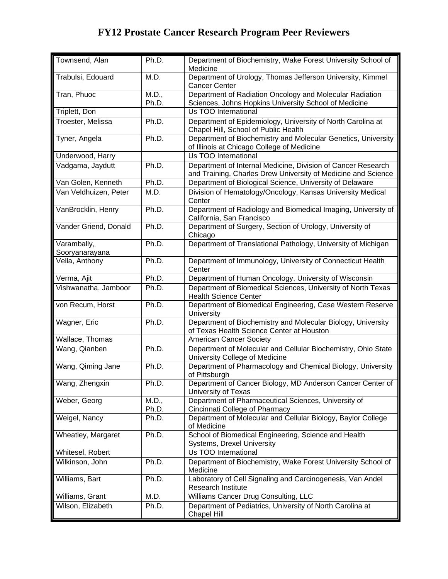| Townsend, Alan                | Ph.D.          | Department of Biochemistry, Wake Forest University School of<br>Medicine                                                      |
|-------------------------------|----------------|-------------------------------------------------------------------------------------------------------------------------------|
| Trabulsi, Edouard             | M.D.           | Department of Urology, Thomas Jefferson University, Kimmel<br><b>Cancer Center</b>                                            |
| Tran, Phuoc                   | M.D.,<br>Ph.D. | Department of Radiation Oncology and Molecular Radiation<br>Sciences, Johns Hopkins University School of Medicine             |
| Triplett, Don                 |                | Us TOO International                                                                                                          |
| Troester, Melissa             | Ph.D.          | Department of Epidemiology, University of North Carolina at<br>Chapel Hill, School of Public Health                           |
| Tyner, Angela                 | Ph.D.          | Department of Biochemistry and Molecular Genetics, University<br>of Illinois at Chicago College of Medicine                   |
| Underwood, Harry              |                | Us TOO International                                                                                                          |
| Vadgama, Jaydutt              | Ph.D.          | Department of Internal Medicine, Division of Cancer Research<br>and Training, Charles Drew University of Medicine and Science |
| Van Golen, Kenneth            | Ph.D.          | Department of Biological Science, University of Delaware                                                                      |
| Van Veldhuizen, Peter         | M.D.           | Division of Hematology/Oncology, Kansas University Medical<br>Center                                                          |
| VanBrocklin, Henry            | Ph.D.          | Department of Radiology and Biomedical Imaging, University of<br>California, San Francisco                                    |
| Vander Griend, Donald         | Ph.D.          | Department of Surgery, Section of Urology, University of<br>Chicago                                                           |
| Varambally,<br>Sooryanarayana | Ph.D.          | Department of Translational Pathology, University of Michigan                                                                 |
| Vella, Anthony                | Ph.D.          | Department of Immunology, University of Connecticut Health<br>Center                                                          |
| Verma, Ajit                   | Ph.D.          | Department of Human Oncology, University of Wisconsin                                                                         |
| Vishwanatha, Jamboor          | Ph.D.          | Department of Biomedical Sciences, University of North Texas<br><b>Health Science Center</b>                                  |
| von Recum, Horst              | Ph.D.          | Department of Biomedical Engineering, Case Western Reserve<br>University                                                      |
| Wagner, Eric                  | Ph.D.          | Department of Biochemistry and Molecular Biology, University<br>of Texas Health Science Center at Houston                     |
| Wallace, Thomas               |                | <b>American Cancer Society</b>                                                                                                |
| Wang, Qianben                 | Ph.D.          | Department of Molecular and Cellular Biochemistry, Ohio State<br>University College of Medicine                               |
| Wang, Qiming Jane             | Ph.D.          | Department of Pharmacology and Chemical Biology, University<br>of Pittsburgh                                                  |
| Wang, Zhengxin                | Ph.D.          | Department of Cancer Biology, MD Anderson Cancer Center of<br>University of Texas                                             |
| Weber, Georg                  | M.D.,<br>Ph.D. | Department of Pharmaceutical Sciences, University of<br>Cincinnati College of Pharmacy                                        |
| Weigel, Nancy                 | Ph.D.          | Department of Molecular and Cellular Biology, Baylor College<br>of Medicine                                                   |
| Wheatley, Margaret            | Ph.D.          | School of Biomedical Engineering, Science and Health<br>Systems, Drexel University                                            |
| Whitesel, Robert              |                | Us TOO International                                                                                                          |
| Wilkinson, John               | Ph.D.          | Department of Biochemistry, Wake Forest University School of<br>Medicine                                                      |
| Williams, Bart                | Ph.D.          | Laboratory of Cell Signaling and Carcinogenesis, Van Andel<br>Research Institute                                              |
| Williams, Grant               | M.D.           | Williams Cancer Drug Consulting, LLC                                                                                          |
| Wilson, Elizabeth             | Ph.D.          | Department of Pediatrics, University of North Carolina at<br>Chapel Hill                                                      |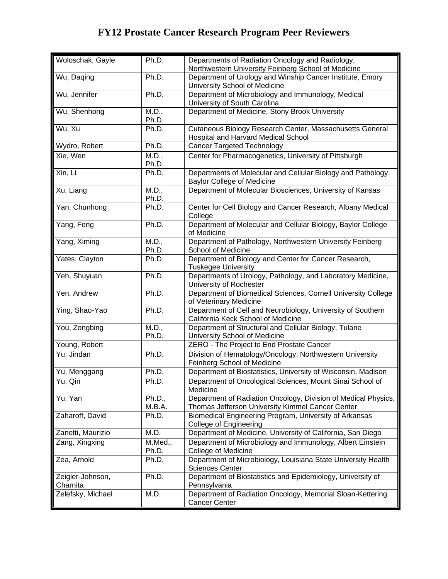| Woloschak, Gayle             | Ph.D.            | Departments of Radiation Oncology and Radiology,<br>Northwestern University Feinberg School of Medicine            |
|------------------------------|------------------|--------------------------------------------------------------------------------------------------------------------|
| Wu, Daging                   | Ph.D.            | Department of Urology and Winship Cancer Institute, Emory<br>University School of Medicine                         |
| Wu, Jennifer                 | Ph.D.            | Department of Microbiology and Immunology, Medical<br>University of South Carolina                                 |
| Wu, Shenhong                 | M.D.,<br>Ph.D.   | Department of Medicine, Stony Brook University                                                                     |
| Wu, Xu                       | Ph.D.            | Cutaneous Biology Research Center, Massachusetts General<br>Hospital and Harvard Medical School                    |
| Wydro, Robert                | Ph.D.            | <b>Cancer Targeted Technology</b>                                                                                  |
| Xie, Wen                     | M.D.,<br>Ph.D.   | Center for Pharmacogenetics, University of Pittsburgh                                                              |
| Xin, Li                      | Ph.D.            | Departments of Molecular and Cellular Biology and Pathology,<br><b>Baylor College of Medicine</b>                  |
| Xu, Liang                    | M.D.,<br>Ph.D.   | Department of Molecular Biosciences, University of Kansas                                                          |
| Yan, Chunhong                | Ph.D.            | Center for Cell Biology and Cancer Research, Albany Medical<br>College                                             |
| Yang, Feng                   | Ph.D.            | Department of Molecular and Cellular Biology, Baylor College<br>of Medicine                                        |
| Yang, Ximing                 | M.D.,<br>Ph.D.   | Department of Pathology, Northwestern University Feinberg<br>School of Medicine                                    |
| Yates, Clayton               | Ph.D.            | Department of Biology and Center for Cancer Research,<br><b>Tuskegee University</b>                                |
| Yeh, Shuyuan                 | Ph.D.            | Departments of Urology, Pathology, and Laboratory Medicine,<br>University of Rochester                             |
| Yen, Andrew                  | Ph.D.            | Department of Biomedical Sciences, Cornell University College<br>of Veterinary Medicine                            |
| Ying, Shao-Yao               | Ph.D.            | Department of Cell and Neurobiology, University of Southern<br>California Keck School of Medicine                  |
| You, Zongbing                | M.D.,<br>Ph.D.   | Department of Structural and Cellular Biology, Tulane<br>University School of Medicine                             |
| Young, Robert                |                  | ZERO - The Project to End Prostate Cancer                                                                          |
| Yu, Jindan                   | Ph.D.            | Division of Hematology/Oncology, Northwestern University<br>Feinberg School of Medicine                            |
| Yu, Menggang                 | Ph.D.            | Department of Biostatistics, University of Wisconsin, Madison                                                      |
| Yu, Qin                      | Ph.D.            | Department of Oncological Sciences, Mount Sinai School of<br>Medicine                                              |
| Yu, Yan                      | Ph.D.,<br>M.B.A. | Department of Radiation Oncology, Division of Medical Physics,<br>Thomas Jefferson University Kimmel Cancer Center |
| Zaharoff, David              | Ph.D.            | Biomedical Engineering Program, University of Arkansas<br><b>College of Engineering</b>                            |
| Zanetti, Maurizio            | M.D.             | Department of Medicine, University of California, San Diego                                                        |
| Zang, Xingxing               | M.Med.,<br>Ph.D. | Department of Microbiology and Immunology, Albert Einstein<br>College of Medicine                                  |
| Zea, Arnold                  | Ph.D.            | Department of Microbiology, Louisiana State University Health<br><b>Sciences Center</b>                            |
| Zeigler-Johnson,<br>Charnita | Ph.D.            | Department of Biostatistics and Epidemiology, University of<br>Pennsylvania                                        |
| Zelefsky, Michael            | M.D.             | Department of Radiation Oncology, Memorial Sloan-Kettering<br><b>Cancer Center</b>                                 |